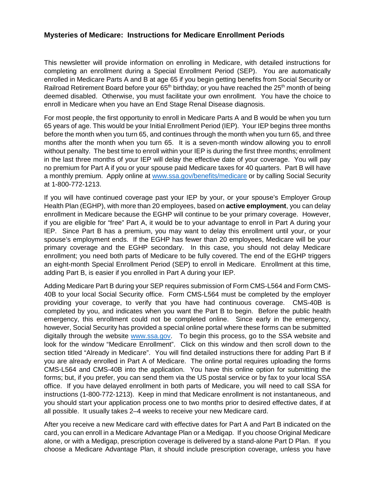## **Mysteries of Medicare: Instructions for Medicare Enrollment Periods**

This newsletter will provide information on enrolling in Medicare, with detailed instructions for completing an enrollment during a Special Enrollment Period (SEP). You are automatically enrolled in Medicare Parts A and B at age 65 if you begin getting benefits from Social Security or Railroad Retirement Board before your 65<sup>th</sup> birthday; or you have reached the 25<sup>th</sup> month of being deemed disabled. Otherwise, you must facilitate your own enrollment. You have the choice to enroll in Medicare when you have an End Stage Renal Disease diagnosis.

For most people, the first opportunity to enroll in Medicare Parts A and B would be when you turn 65 years of age. This would be your Initial Enrollment Period (IEP). Your IEP begins three months before the month when you turn 65, and continues through the month when you turn 65, and three months after the month when you turn 65. It is a seven-month window allowing you to enroll without penalty. The best time to enroll within your IEP is during the first three months; enrollment in the last three months of your IEP will delay the effective date of your coverage. You will pay no premium for Part A if you or your spouse paid Medicare taxes for 40 quarters. Part B will have a monthly premium. Apply online at [www.ssa.gov/benefits/medicare](http://www.ssa.gov/benefits/medicare) or by calling Social Security at 1-800-772-1213.

If you will have continued coverage past your IEP by your, or your spouse's Employer Group Health Plan (EGHP), with more than 20 employees, based on **active employment**, you can delay enrollment in Medicare because the EGHP will continue to be your primary coverage. However, if you are eligible for "free" Part A, it would be to your advantage to enroll in Part A during your IEP. Since Part B has a premium, you may want to delay this enrollment until your, or your spouse's employment ends. If the EGHP has fewer than 20 employees, Medicare will be your primary coverage and the EGHP secondary. In this case, you should not delay Medicare enrollment; you need both parts of Medicare to be fully covered. The end of the EGHP triggers an eight-month Special Enrollment Period (SEP) to enroll in Medicare. Enrollment at this time, adding Part B, is easier if you enrolled in Part A during your IEP.

Adding Medicare Part B during your SEP requires submission of Form CMS-L564 and Form CMS-40B to your local Social Security office. Form CMS-L564 must be completed by the employer providing your coverage, to verify that you have had continuous coverage. CMS-40B is completed by you, and indicates when you want the Part B to begin. Before the public health emergency, this enrollment could not be completed online. Since early in the emergency, however, Social Security has provided a special online portal where these forms can be submitted digitally through the website [www.ssa.gov.](http://www.ssa.gov/) To begin this process, go to the SSA website and look for the window "Medicare Enrollment". Click on this window and then scroll down to the section titled "Already in Medicare". You will find detailed instructions there for adding Part B if you are already enrolled in Part A of Medicare. The online portal requires uploading the forms CMS-L564 and CMS-40B into the application. You have this online option for submitting the forms; but, if you prefer, you can send them via the US postal service or by fax to your local SSA office. If you have delayed enrollment in both parts of Medicare, you will need to call SSA for instructions (1-800-772-1213). Keep in mind that Medicare enrollment is not instantaneous, and you should start your application process one to two months prior to desired effective dates, if at all possible. It usually takes 2–4 weeks to receive your new Medicare card.

After you receive a new Medicare card with effective dates for Part A and Part B indicated on the card, you can enroll in a Medicare Advantage Plan or a Medigap. If you choose Original Medicare alone, or with a Medigap, prescription coverage is delivered by a stand-alone Part D Plan. If you choose a Medicare Advantage Plan, it should include prescription coverage, unless you have